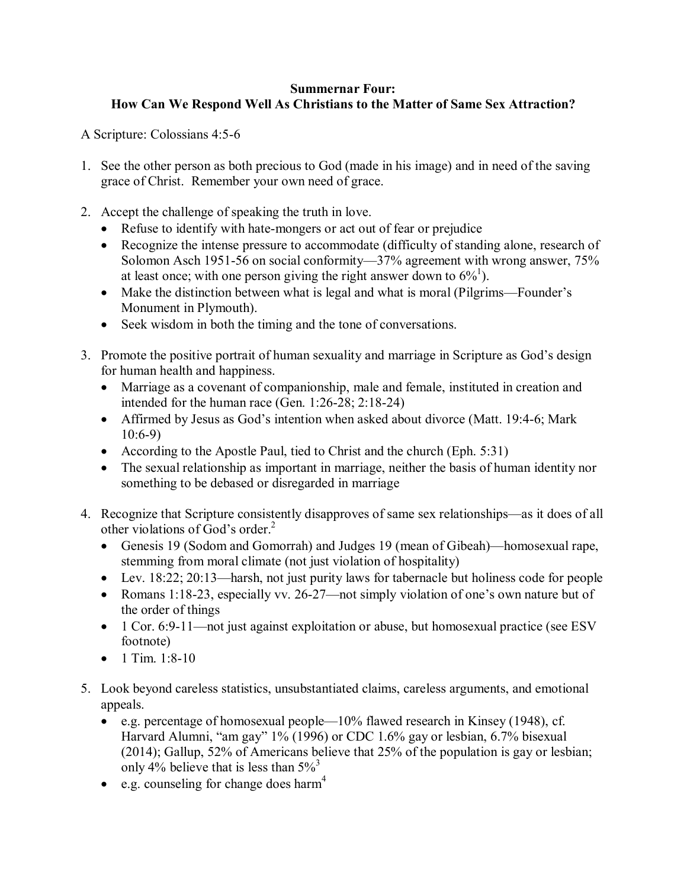## **Summernar Four: How Can We Respond Well As Christians to the Matter of Same Sex Attraction?**

A Scripture: Colossians 4:5-6

- 1. See the other person as both precious to God (made in his image) and in need of the saving grace of Christ. Remember your own need of grace.
- 2. Accept the challenge of speaking the truth in love.
	- Refuse to identify with hate-mongers or act out of fear or prejudice
	- Recognize the intense pressure to accommodate (difficulty of standing alone, research of Solomon Asch 1951-56 on social conformity—37% agreement with wrong answer, 75% at least once; with one person giving the right answer down to  $6\%^1$ ).
	- Make the distinction between what is legal and what is moral (Pilgrims—Founder's Monument in Plymouth).
	- Seek wisdom in both the timing and the tone of conversations.
- 3. Promote the positive portrait of human sexuality and marriage in Scripture as God's design for human health and happiness.
	- Marriage as a covenant of companionship, male and female, instituted in creation and intended for the human race (Gen. 1:26-28; 2:18-24)
	- Affirmed by Jesus as God's intention when asked about divorce (Matt. 19:4-6; Mark 10:6-9)
	- According to the Apostle Paul, tied to Christ and the church (Eph. 5:31)
	- The sexual relationship as important in marriage, neither the basis of human identity nor something to be debased or disregarded in marriage
- 4. Recognize that Scripture consistently disapproves of same sex relationships—as it does of all other violations of God's order. $<sup>2</sup>$ </sup>
	- Genesis 19 (Sodom and Gomorrah) and Judges 19 (mean of Gibeah)—homosexual rape, stemming from moral climate (not just violation of hospitality)
	- Lev. 18:22; 20:13—harsh, not just purity laws for tabernacle but holiness code for people
	- Romans 1:18-23, especially vv. 26-27—not simply violation of one's own nature but of the order of things
	- 1 Cor. 6:9-11—not just against exploitation or abuse, but homosexual practice (see ESV footnote)
	- $\bullet$  1 Tim. 1:8-10
- 5. Look beyond careless statistics, unsubstantiated claims, careless arguments, and emotional appeals.
	- e.g. percentage of homosexual people—10% flawed research in Kinsey (1948), cf. Harvard Alumni, "am gay" 1% (1996) or CDC 1.6% gay or lesbian, 6.7% bisexual (2014); Gallup, 52% of Americans believe that 25% of the population is gay or lesbian; only 4% believe that is less than  $5\%$ <sup>3</sup>
	- e.g. counseling for change does harm<sup>4</sup>